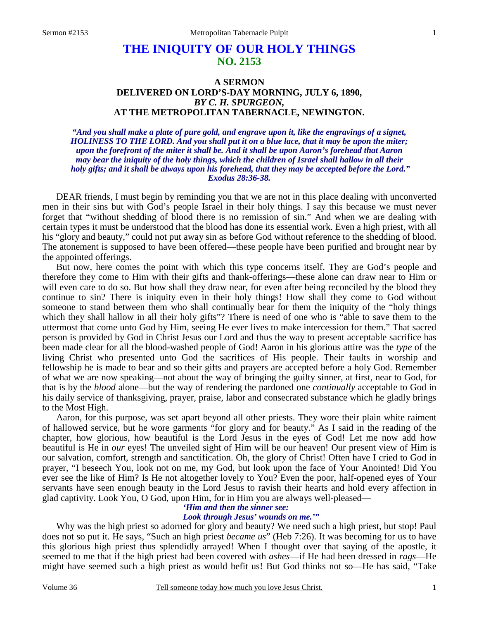# **THE INIQUITY OF OUR HOLY THINGS NO. 2153**

## **A SERMON DELIVERED ON LORD'S-DAY MORNING, JULY 6, 1890,**  *BY C. H. SPURGEON,*  **AT THE METROPOLITAN TABERNACLE, NEWINGTON.**

*"And you shall make a plate of pure gold, and engrave upon it, like the engravings of a signet, HOLINESS TO THE LORD. And you shall put it on a blue lace, that it may be upon the miter; upon the forefront of the miter it shall be. And it shall be upon Aaron's forehead that Aaron may bear the iniquity of the holy things, which the children of Israel shall hallow in all their holy gifts; and it shall be always upon his forehead, that they may be accepted before the Lord." Exodus 28:36-38.* 

DEAR friends, I must begin by reminding you that we are not in this place dealing with unconverted men in their sins but with God's people Israel in their holy things. I say this because we must never forget that "without shedding of blood there is no remission of sin." And when we are dealing with certain types it must be understood that the blood has done its essential work. Even a high priest, with all his "glory and beauty," could not put away sin as before God without reference to the shedding of blood. The atonement is supposed to have been offered—these people have been purified and brought near by the appointed offerings.

 But now, here comes the point with which this type concerns itself. They are God's people and therefore they come to Him with their gifts and thank-offerings—these alone can draw near to Him or will even care to do so. But how shall they draw near, for even after being reconciled by the blood they continue to sin? There is iniquity even in their holy things! How shall they come to God without someone to stand between them who shall continually bear for them the iniquity of the "holy things which they shall hallow in all their holy gifts"? There is need of one who is "able to save them to the uttermost that come unto God by Him, seeing He ever lives to make intercession for them." That sacred person is provided by God in Christ Jesus our Lord and thus the way to present acceptable sacrifice has been made clear for all the blood-washed people of God! Aaron in his glorious attire was the *type* of the living Christ who presented unto God the sacrifices of His people. Their faults in worship and fellowship he is made to bear and so their gifts and prayers are accepted before a holy God. Remember of what we are now speaking—not about the way of bringing the guilty sinner, at first, near to God, for that is by the *blood* alone—but the way of rendering the pardoned one *continually* acceptable to God in his daily service of thanksgiving, prayer, praise, labor and consecrated substance which he gladly brings to the Most High.

 Aaron, for this purpose, was set apart beyond all other priests. They wore their plain white raiment of hallowed service, but he wore garments "for glory and for beauty." As I said in the reading of the chapter, how glorious, how beautiful is the Lord Jesus in the eyes of God! Let me now add how beautiful is He in *our* eyes! The unveiled sight of Him will be our heaven! Our present view of Him is our salvation, comfort, strength and sanctification. Oh, the glory of Christ! Often have I cried to God in prayer, "I beseech You, look not on me, my God, but look upon the face of Your Anointed! Did You ever see the like of Him? Is He not altogether lovely to You? Even the poor, half-opened eyes of Your servants have seen enough beauty in the Lord Jesus to ravish their hearts and hold every affection in glad captivity. Look You, O God, upon Him, for in Him you are always well-pleased—

# *'Him and then the sinner see:*

## *Look through Jesus' wounds on me.'"*

Why was the high priest so adorned for glory and beauty? We need such a high priest, but stop! Paul does not so put it. He says, "Such an high priest *became us*" (Heb 7:26). It was becoming for us to have this glorious high priest thus splendidly arrayed! When I thought over that saying of the apostle, it seemed to me that if the high priest had been covered with *ashes*—if He had been dressed in *rags*—He might have seemed such a high priest as would befit us! But God thinks not so—He has said, "Take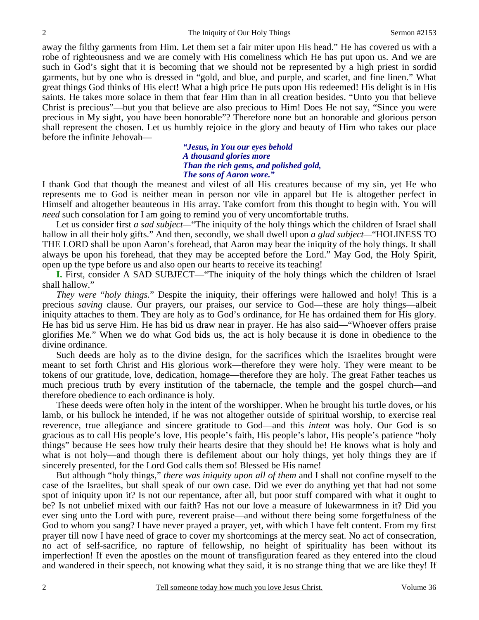away the filthy garments from Him. Let them set a fair miter upon His head." He has covered us with a robe of righteousness and we are comely with His comeliness which He has put upon us. And we are such in God's sight that it is becoming that we should not be represented by a high priest in sordid garments, but by one who is dressed in "gold, and blue, and purple, and scarlet, and fine linen." What great things God thinks of His elect! What a high price He puts upon His redeemed! His delight is in His saints. He takes more solace in them that fear Him than in all creation besides. "Unto you that believe Christ is precious"—but you that believe are also precious to Him! Does He not say, "Since you were precious in My sight, you have been honorable"? Therefore none but an honorable and glorious person shall represent the chosen. Let us humbly rejoice in the glory and beauty of Him who takes our place before the infinite Jehovah—

> *"Jesus, in You our eyes behold A thousand glories more Than the rich gems, and polished gold, The sons of Aaron wore."*

I thank God that though the meanest and vilest of all His creatures because of my sin, yet He who represents me to God is neither mean in person nor vile in apparel but He is altogether perfect in Himself and altogether beauteous in His array. Take comfort from this thought to begin with. You will *need* such consolation for I am going to remind you of very uncomfortable truths.

Let us consider first *a sad subject*—"The iniquity of the holy things which the children of Israel shall hallow in all their holy gifts." And then, secondly, we shall dwell upon *a glad subject—*"HOLINESS TO THE LORD shall be upon Aaron's forehead, that Aaron may bear the iniquity of the holy things. It shall always be upon his forehead, that they may be accepted before the Lord." May God, the Holy Spirit, open up the type before us and also open our hearts to receive its teaching!

**I.** First, consider A SAD SUBJECT—"The iniquity of the holy things which the children of Israel shall hallow."

 *They were* "*holy things.*" Despite the iniquity, their offerings were hallowed and holy! This is a precious *saving* clause. Our prayers, our praises, our service to God—these are holy things—albeit iniquity attaches to them. They are holy as to God's ordinance, for He has ordained them for His glory. He has bid us serve Him. He has bid us draw near in prayer. He has also said—"Whoever offers praise glorifies Me." When we do what God bids us, the act is holy because it is done in obedience to the divine ordinance.

 Such deeds are holy as to the divine design, for the sacrifices which the Israelites brought were meant to set forth Christ and His glorious work—therefore they were holy. They were meant to be tokens of our gratitude, love, dedication, homage—therefore they are holy. The great Father teaches us much precious truth by every institution of the tabernacle, the temple and the gospel church—and therefore obedience to each ordinance is holy.

 These deeds were often holy in the intent of the worshipper. When he brought his turtle doves, or his lamb, or his bullock he intended, if he was not altogether outside of spiritual worship, to exercise real reverence, true allegiance and sincere gratitude to God—and this *intent* was holy. Our God is so gracious as to call His people's love, His people's faith, His people's labor, His people's patience "holy things" because He sees how truly their hearts desire that they should be! He knows what is holy and what is not holy—and though there is defilement about our holy things, yet holy things they are if sincerely presented, for the Lord God calls them so! Blessed be His name!

 But although "holy things," *there was iniquity upon all of them* and I shall not confine myself to the case of the Israelites, but shall speak of our own case. Did we ever do anything yet that had not some spot of iniquity upon it? Is not our repentance, after all, but poor stuff compared with what it ought to be? Is not unbelief mixed with our faith? Has not our love a measure of lukewarmness in it? Did you ever sing unto the Lord with pure, reverent praise—and without there being some forgetfulness of the God to whom you sang? I have never prayed a prayer, yet, with which I have felt content. From my first prayer till now I have need of grace to cover my shortcomings at the mercy seat. No act of consecration, no act of self-sacrifice, no rapture of fellowship, no height of spirituality has been without its imperfection! If even the apostles on the mount of transfiguration feared as they entered into the cloud and wandered in their speech, not knowing what they said, it is no strange thing that we are like they! If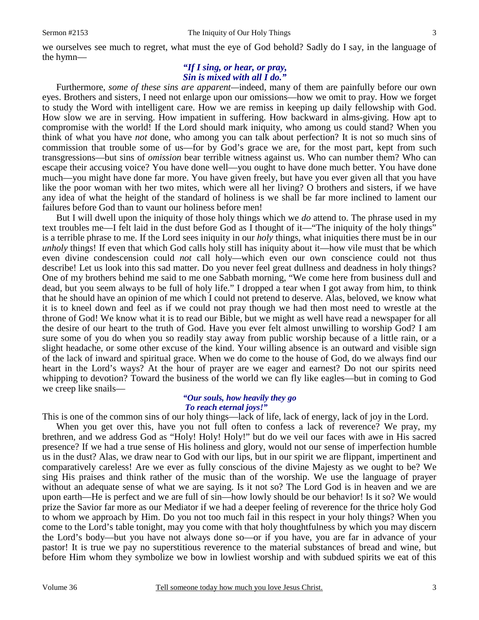we ourselves see much to regret, what must the eye of God behold? Sadly do I say, in the language of the hymn—

## *"If I sing, or hear, or pray, Sin is mixed with all I do."*

 Furthermore, *some of these sins are apparent—*indeed, many of them are painfully before our own eyes. Brothers and sisters, I need not enlarge upon our omissions—how we omit to pray. How we forget to study the Word with intelligent care. How we are remiss in keeping up daily fellowship with God. How slow we are in serving. How impatient in suffering. How backward in alms-giving. How apt to compromise with the world! If the Lord should mark iniquity, who among us could stand? When you think of what you have *not* done, who among you can talk about perfection? It is not so much sins of commission that trouble some of us—for by God's grace we are, for the most part, kept from such transgressions—but sins of *omission* bear terrible witness against us. Who can number them? Who can escape their accusing voice? You have done well—you ought to have done much better. You have done much—you might have done far more. You have given freely, but have you ever given all that you have like the poor woman with her two mites, which were all her living? O brothers and sisters, if we have any idea of what the height of the standard of holiness is we shall be far more inclined to lament our failures before God than to vaunt our holiness before men!

 But I will dwell upon the iniquity of those holy things which we *do* attend to. The phrase used in my text troubles me—I felt laid in the dust before God as I thought of it—"The iniquity of the holy things" is a terrible phrase to me. If the Lord sees iniquity in our *holy* things, what iniquities there must be in our *unholy* things! If even that which God calls holy still has iniquity about it—how vile must that be which even divine condescension could *not* call holy—which even our own conscience could not thus describe! Let us look into this sad matter. Do you never feel great dullness and deadness in holy things? One of my brothers behind me said to me one Sabbath morning, "We come here from business dull and dead, but you seem always to be full of holy life." I dropped a tear when I got away from him, to think that he should have an opinion of me which I could not pretend to deserve. Alas, beloved, we know what it is to kneel down and feel as if we could not pray though we had then most need to wrestle at the throne of God! We know what it is to read our Bible, but we might as well have read a newspaper for all the desire of our heart to the truth of God. Have you ever felt almost unwilling to worship God? I am sure some of you do when you so readily stay away from public worship because of a little rain, or a slight headache, or some other excuse of the kind. Your willing absence is an outward and visible sign of the lack of inward and spiritual grace. When we do come to the house of God, do we always find our heart in the Lord's ways? At the hour of prayer are we eager and earnest? Do not our spirits need whipping to devotion? Toward the business of the world we can fly like eagles—but in coming to God we creep like snails—

#### *"Our souls, how heavily they go To reach eternal joys!"*

This is one of the common sins of our holy things—lack of life, lack of energy, lack of joy in the Lord.

When you get over this, have you not full often to confess a lack of reverence? We pray, my brethren, and we address God as "Holy! Holy! Holy!" but do we veil our faces with awe in His sacred presence? If we had a true sense of His holiness and glory, would not our sense of imperfection humble us in the dust? Alas, we draw near to God with our lips, but in our spirit we are flippant, impertinent and comparatively careless! Are we ever as fully conscious of the divine Majesty as we ought to be? We sing His praises and think rather of the music than of the worship. We use the language of prayer without an adequate sense of what we are saying. Is it not so? The Lord God is in heaven and we are upon earth—He is perfect and we are full of sin—how lowly should be our behavior! Is it so? We would prize the Savior far more as our Mediator if we had a deeper feeling of reverence for the thrice holy God to whom we approach by Him. Do you not too much fail in this respect in your holy things? When you come to the Lord's table tonight, may you come with that holy thoughtfulness by which you may discern the Lord's body—but you have not always done so—or if you have, you are far in advance of your pastor! It is true we pay no superstitious reverence to the material substances of bread and wine, but before Him whom they symbolize we bow in lowliest worship and with subdued spirits we eat of this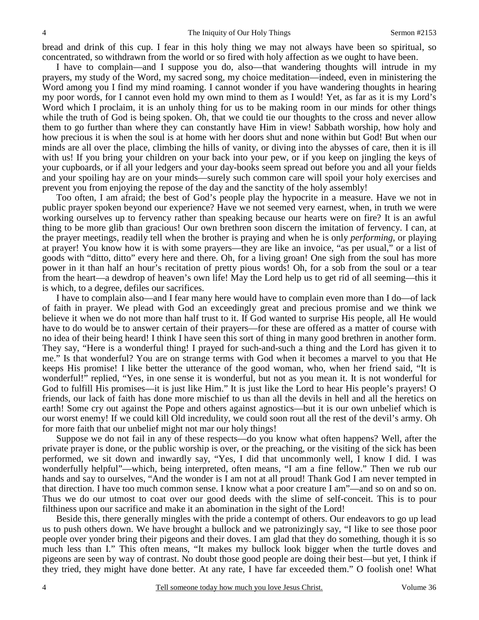bread and drink of this cup. I fear in this holy thing we may not always have been so spiritual, so concentrated, so withdrawn from the world or so fired with holy affection as we ought to have been.

 I have to complain—and I suppose you do, also—that wandering thoughts will intrude in my prayers, my study of the Word, my sacred song, my choice meditation—indeed, even in ministering the Word among you I find my mind roaming. I cannot wonder if you have wandering thoughts in hearing my poor words, for I cannot even hold my own mind to them as I would! Yet, as far as it is my Lord's Word which I proclaim, it is an unholy thing for us to be making room in our minds for other things while the truth of God is being spoken. Oh, that we could tie our thoughts to the cross and never allow them to go further than where they can constantly have Him in view! Sabbath worship, how holy and how precious it is when the soul is at home with her doors shut and none within but God! But when our minds are all over the place, climbing the hills of vanity, or diving into the abysses of care, then it is ill with us! If you bring your children on your back into your pew, or if you keep on jingling the keys of your cupboards, or if all your ledgers and your day-books seem spread out before you and all your fields and your spoiling hay are on your minds—surely such common care will spoil your holy exercises and prevent you from enjoying the repose of the day and the sanctity of the holy assembly!

 Too often, I am afraid; the best of God's people play the hypocrite in a measure. Have we not in public prayer spoken beyond our experience? Have we not seemed very earnest, when, in truth we were working ourselves up to fervency rather than speaking because our hearts were on fire? It is an awful thing to be more glib than gracious! Our own brethren soon discern the imitation of fervency. I can, at the prayer meetings, readily tell when the brother is praying and when he is only *performing*, or playing at prayer! You know how it is with some prayers—they are like an invoice, "as per usual," or a list of goods with "ditto, ditto" every here and there. Oh, for a living groan! One sigh from the soul has more power in it than half an hour's recitation of pretty pious words! Oh, for a sob from the soul or a tear from the heart—a dewdrop of heaven's own life! May the Lord help us to get rid of all seeming—this it is which, to a degree, defiles our sacrifices.

 I have to complain also—and I fear many here would have to complain even more than I do—of lack of faith in prayer. We plead with God an exceedingly great and precious promise and we think we believe it when we do not more than half trust to it. If God wanted to surprise His people, all He would have to do would be to answer certain of their prayers—for these are offered as a matter of course with no idea of their being heard! I think I have seen this sort of thing in many good brethren in another form. They say, "Here is a wonderful thing! I prayed for such-and-such a thing and the Lord has given it to me." Is that wonderful? You are on strange terms with God when it becomes a marvel to you that He keeps His promise! I like better the utterance of the good woman, who, when her friend said, "It is wonderful!" replied, "Yes, in one sense it is wonderful, but not as you mean it. It is not wonderful for God to fulfill His promises—it is just like Him." It is just like the Lord to hear His people's prayers! O friends, our lack of faith has done more mischief to us than all the devils in hell and all the heretics on earth! Some cry out against the Pope and others against agnostics—but it is our own unbelief which is our worst enemy! If we could kill Old incredulity, we could soon rout all the rest of the devil's army. Oh for more faith that our unbelief might not mar our holy things!

 Suppose we do not fail in any of these respects—do you know what often happens? Well, after the private prayer is done, or the public worship is over, or the preaching, or the visiting of the sick has been performed, we sit down and inwardly say, "Yes, I did that uncommonly well, I know I did. I was wonderfully helpful"—which, being interpreted, often means, "I am a fine fellow." Then we rub our hands and say to ourselves, "And the wonder is I am not at all proud! Thank God I am never tempted in that direction. I have too much common sense. I know what a poor creature I am"—and so on and so on. Thus we do our utmost to coat over our good deeds with the slime of self-conceit. This is to pour filthiness upon our sacrifice and make it an abomination in the sight of the Lord!

 Beside this, there generally mingles with the pride a contempt of others. Our endeavors to go up lead us to push others down. We have brought a bullock and we patronizingly say, "I like to see those poor people over yonder bring their pigeons and their doves. I am glad that they do something, though it is so much less than I." This often means, "It makes my bullock look bigger when the turtle doves and pigeons are seen by way of contrast. No doubt those good people are doing their best—but yet, I think if they tried, they might have done better. At any rate, I have far exceeded them." O foolish one! What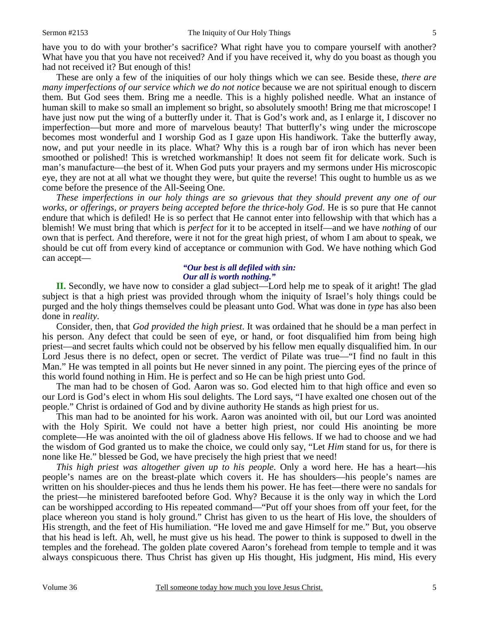have you to do with your brother's sacrifice? What right have you to compare yourself with another? What have you that you have not received? And if you have received it, why do you boast as though you had not received it? But enough of this!

 These are only a few of the iniquities of our holy things which we can see. Beside these, *there are many imperfections of our service which we do not notice* because we are not spiritual enough to discern them. But God sees them. Bring me a needle. This is a highly polished needle. What an instance of human skill to make so small an implement so bright, so absolutely smooth! Bring me that microscope! I have just now put the wing of a butterfly under it. That is God's work and, as I enlarge it, I discover no imperfection—but more and more of marvelous beauty! That butterfly's wing under the microscope becomes most wonderful and I worship God as I gaze upon His handiwork. Take the butterfly away, now, and put your needle in its place. What? Why this is a rough bar of iron which has never been smoothed or polished! This is wretched workmanship! It does not seem fit for delicate work. Such is man's manufacture—the best of it. When God puts your prayers and my sermons under His microscopic eye, they are not at all what we thought they were, but quite the reverse! This ought to humble us as we come before the presence of the All-Seeing One.

*These imperfections in our holy things are so grievous that they should prevent any one of our works, or offerings, or prayers being accepted before the thrice-holy God*. He is so pure that He cannot endure that which is defiled! He is so perfect that He cannot enter into fellowship with that which has a blemish! We must bring that which is *perfect* for it to be accepted in itself—and we have *nothing* of our own that is perfect. And therefore, were it not for the great high priest, of whom I am about to speak, we should be cut off from every kind of acceptance or communion with God. We have nothing which God can accept—

#### *"Our best is all defiled with sin: Our all is worth nothing."*

**II.** Secondly, we have now to consider a glad subject—Lord help me to speak of it aright! The glad subject is that a high priest was provided through whom the iniquity of Israel's holy things could be purged and the holy things themselves could be pleasant unto God. What was done in *type* has also been done in *reality*.

 Consider, then, that *God provided the high priest*. It was ordained that he should be a man perfect in his person. Any defect that could be seen of eye, or hand, or foot disqualified him from being high priest—and secret faults which could not be observed by his fellow men equally disqualified him. In our Lord Jesus there is no defect, open or secret. The verdict of Pilate was true—"I find no fault in this Man." He was tempted in all points but He never sinned in any point. The piercing eyes of the prince of this world found nothing in Him. He is perfect and so He can be high priest unto God.

 The man had to be chosen of God. Aaron was so. God elected him to that high office and even so our Lord is God's elect in whom His soul delights. The Lord says, "I have exalted one chosen out of the people." Christ is ordained of God and by divine authority He stands as high priest for us.

 This man had to be anointed for his work. Aaron was anointed with oil, but our Lord was anointed with the Holy Spirit. We could not have a better high priest, nor could His anointing be more complete—He was anointed with the oil of gladness above His fellows. If we had to choose and we had the wisdom of God granted us to make the choice, we could only say, "Let *Him* stand for us, for there is none like He." blessed be God, we have precisely the high priest that we need!

*This high priest was altogether given up to his people*. Only a word here. He has a heart—his people's names are on the breast-plate which covers it. He has shoulders—his people's names are written on his shoulder-pieces and thus he lends them his power. He has feet—there were no sandals for the priest—he ministered barefooted before God. Why? Because it is the only way in which the Lord can be worshipped according to His repeated command—"Put off your shoes from off your feet, for the place whereon you stand is holy ground." Christ has given to us the heart of His love, the shoulders of His strength, and the feet of His humiliation. "He loved me and gave Himself for me." But, you observe that his head is left. Ah, well, he must give us his head. The power to think is supposed to dwell in the temples and the forehead. The golden plate covered Aaron's forehead from temple to temple and it was always conspicuous there. Thus Christ has given up His thought, His judgment, His mind, His every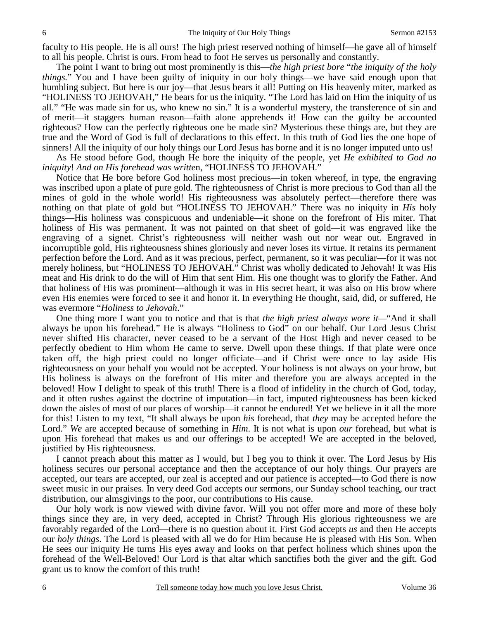faculty to His people. He is all ours! The high priest reserved nothing of himself—he gave all of himself to all his people. Christ is ours. From head to foot He serves us personally and constantly.

 The point I want to bring out most prominently is this—*the high priest bore* "*the iniquity of the holy things.*" You and I have been guilty of iniquity in our holy things—we have said enough upon that humbling subject. But here is our joy—that Jesus bears it all! Putting on His heavenly miter, marked as "HOLINESS TO JEHOVAH," He bears for us the iniquity. "The Lord has laid on Him the iniquity of us all." "He was made sin for us, who knew no sin." It is a wonderful mystery, the transference of sin and of merit—it staggers human reason—faith alone apprehends it! How can the guilty be accounted righteous? How can the perfectly righteous one be made sin? Mysterious these things are, but they are true and the Word of God is full of declarations to this effect. In this truth of God lies the one hope of sinners! All the iniquity of our holy things our Lord Jesus has borne and it is no longer imputed unto us!

 As He stood before God, though He bore the iniquity of the people, yet *He exhibited to God no iniquity*! *And on His forehead was writte*n, "HOLINESS TO JEHOVAH."

 Notice that He bore before God holiness most precious—in token whereof, in type, the engraving was inscribed upon a plate of pure gold. The righteousness of Christ is more precious to God than all the mines of gold in the whole world! His righteousness was absolutely perfect—therefore there was nothing on that plate of gold but "HOLINESS TO JEHOVAH." There was no iniquity in *His* holy things—His holiness was conspicuous and undeniable—it shone on the forefront of His miter. That holiness of His was permanent. It was not painted on that sheet of gold—it was engraved like the engraving of a signet. Christ's righteousness will neither wash out nor wear out. Engraved in incorruptible gold, His righteousness shines gloriously and never loses its virtue. It retains its permanent perfection before the Lord. And as it was precious, perfect, permanent, so it was peculiar—for it was not merely holiness, but "HOLINESS TO JEHOVAH." Christ was wholly dedicated to Jehovah! It was His meat and His drink to do the will of Him that sent Him. His one thought was to glorify the Father. And that holiness of His was prominent—although it was in His secret heart, it was also on His brow where even His enemies were forced to see it and honor it. In everything He thought, said, did, or suffered, He was evermore "*Holiness to Jehovah*."

 One thing more I want you to notice and that is that *the high priest always wore it—*"And it shall always be upon his forehead." He is always "Holiness to God" on our behalf. Our Lord Jesus Christ never shifted His character, never ceased to be a servant of the Host High and never ceased to be perfectly obedient to Him whom He came to serve. Dwell upon these things. If that plate were once taken off, the high priest could no longer officiate—and if Christ were once to lay aside His righteousness on your behalf you would not be accepted. Your holiness is not always on your brow, but His holiness is always on the forefront of His miter and therefore you are always accepted in the beloved! How I delight to speak of this truth! There is a flood of infidelity in the church of God, today, and it often rushes against the doctrine of imputation—in fact, imputed righteousness has been kicked down the aisles of most of our places of worship—it cannot be endured! Yet we believe in it all the more for this! Listen to my text, "It shall always be upon *his* forehead, that *they* may be accepted before the Lord." We are accepted because of something in *Him*. It is not what is upon *our* forehead, but what is upon His forehead that makes us and our offerings to be accepted! We are accepted in the beloved, justified by His righteousness.

 I cannot preach about this matter as I would, but I beg you to think it over. The Lord Jesus by His holiness secures our personal acceptance and then the acceptance of our holy things. Our prayers are accepted, our tears are accepted, our zeal is accepted and our patience is accepted—to God there is now sweet music in our praises. In very deed God accepts our sermons, our Sunday school teaching, our tract distribution, our almsgivings to the poor, our contributions to His cause.

 Our holy work is now viewed with divine favor. Will you not offer more and more of these holy things since they are, in very deed, accepted in Christ? Through His glorious righteousness we are favorably regarded of the Lord—there is no question about it. First God accepts *us* and then He accepts our *holy things*. The Lord is pleased with all we do for Him because He is pleased with His Son. When He sees our iniquity He turns His eyes away and looks on that perfect holiness which shines upon the forehead of the Well-Beloved! Our Lord is that altar which sanctifies both the giver and the gift. God grant us to know the comfort of this truth!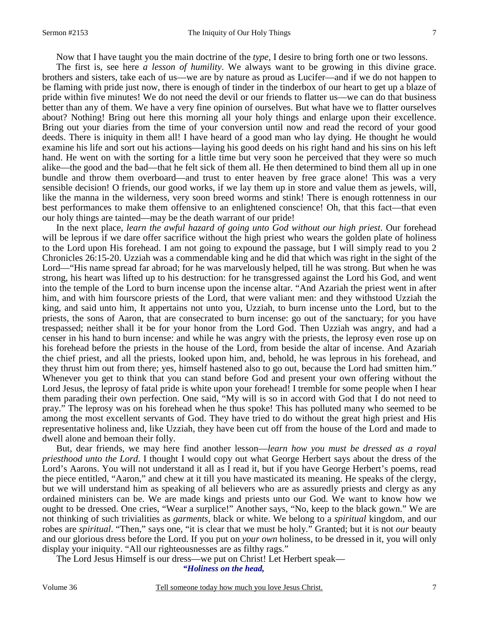Now that I have taught you the main doctrine of the *type*, I desire to bring forth one or two lessons.

 The first is, see here *a lesson of humility*. We always want to be growing in this divine grace. brothers and sisters, take each of us—we are by nature as proud as Lucifer—and if we do not happen to be flaming with pride just now, there is enough of tinder in the tinderbox of our heart to get up a blaze of pride within five minutes! We do not need the devil or our friends to flatter us—we can do that business better than any of them. We have a very fine opinion of ourselves. But what have we to flatter ourselves about? Nothing! Bring out here this morning all your holy things and enlarge upon their excellence. Bring out your diaries from the time of your conversion until now and read the record of your good deeds. There is iniquity in them all! I have heard of a good man who lay dying. He thought he would examine his life and sort out his actions—laying his good deeds on his right hand and his sins on his left hand. He went on with the sorting for a little time but very soon he perceived that they were so much alike—the good and the bad—that he felt sick of them all. He then determined to bind them all up in one bundle and throw them overboard—and trust to enter heaven by free grace alone! This was a very sensible decision! O friends, our good works, if we lay them up in store and value them as jewels, will, like the manna in the wilderness, very soon breed worms and stink! There is enough rottenness in our best performances to make them offensive to an enlightened conscience! Oh, that this fact—that even our holy things are tainted—may be the death warrant of our pride!

 In the next place, *learn the awful hazard of going unto God without our high priest*. Our forehead will be leprous if we dare offer sacrifice without the high priest who wears the golden plate of holiness to the Lord upon His forehead. I am not going to expound the passage, but I will simply read to you 2 Chronicles 26:15-20. Uzziah was a commendable king and he did that which was right in the sight of the Lord—"His name spread far abroad; for he was marvelously helped, till he was strong. But when he was strong, his heart was lifted up to his destruction: for he transgressed against the Lord his God, and went into the temple of the Lord to burn incense upon the incense altar. "And Azariah the priest went in after him, and with him fourscore priests of the Lord, that were valiant men: and they withstood Uzziah the king, and said unto him, It appertains not unto you, Uzziah, to burn incense unto the Lord, but to the priests, the sons of Aaron, that are consecrated to burn incense: go out of the sanctuary; for you have trespassed; neither shall it be for your honor from the Lord God. Then Uzziah was angry, and had a censer in his hand to burn incense: and while he was angry with the priests, the leprosy even rose up on his forehead before the priests in the house of the Lord, from beside the altar of incense. And Azariah the chief priest, and all the priests, looked upon him, and, behold, he was leprous in his forehead, and they thrust him out from there; yes, himself hastened also to go out, because the Lord had smitten him." Whenever you get to think that you can stand before God and present your own offering without the Lord Jesus, the leprosy of fatal pride is white upon your forehead! I tremble for some people when I hear them parading their own perfection. One said, "My will is so in accord with God that I do not need to pray." The leprosy was on his forehead when he thus spoke! This has polluted many who seemed to be among the most excellent servants of God. They have tried to do without the great high priest and His representative holiness and, like Uzziah, they have been cut off from the house of the Lord and made to dwell alone and bemoan their folly.

 But, dear friends, we may here find another lesson—*learn how you must be dressed as a royal priesthood unto the Lord*. I thought I would copy out what George Herbert says about the dress of the Lord's Aarons. You will not understand it all as I read it, but if you have George Herbert's poems, read the piece entitled, "Aaron," and chew at it till you have masticated its meaning. He speaks of the clergy, but we will understand him as speaking of all believers who are as assuredly priests and clergy as any ordained ministers can be. We are made kings and priests unto our God. We want to know how we ought to be dressed. One cries, "Wear a surplice!" Another says, "No, keep to the black gown." We are not thinking of such trivialities as *garments*, black or white. We belong to a *spiritual* kingdom, and our robes are *spiritual*. "Then," says one, "it is clear that we must be holy." Granted; but it is not *our* beauty and our glorious dress before the Lord. If you put on *your own* holiness, to be dressed in it, you will only display your iniquity. "All our righteousnesses are as filthy rags."

The Lord Jesus Himself is our dress—we put on Christ! Let Herbert speak—

*"Holiness on the head,*